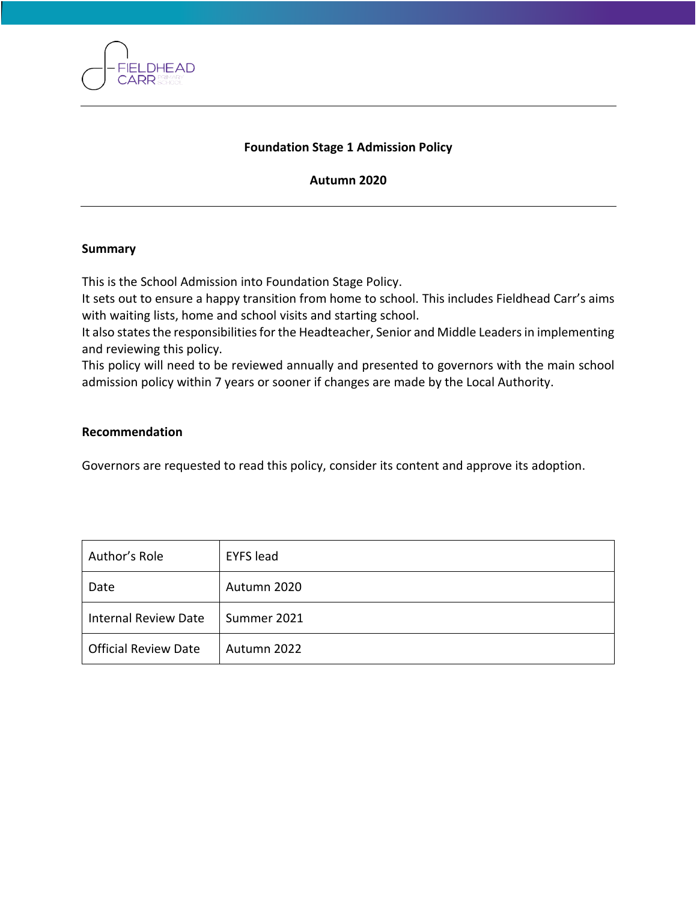

### **Foundation Stage 1 Admission Policy**

#### **Autumn 2020**

#### **Summary**

This is the School Admission into Foundation Stage Policy.

It sets out to ensure a happy transition from home to school. This includes Fieldhead Carr's aims with waiting lists, home and school visits and starting school.

It also states the responsibilities for the Headteacher, Senior and Middle Leaders in implementing and reviewing this policy.

This policy will need to be reviewed annually and presented to governors with the main school admission policy within 7 years or sooner if changes are made by the Local Authority.

#### **Recommendation**

Governors are requested to read this policy, consider its content and approve its adoption.

| Author's Role               | <b>EYFS</b> lead |
|-----------------------------|------------------|
| Date                        | Autumn 2020      |
| <b>Internal Review Date</b> | Summer 2021      |
| <b>Official Review Date</b> | Autumn 2022      |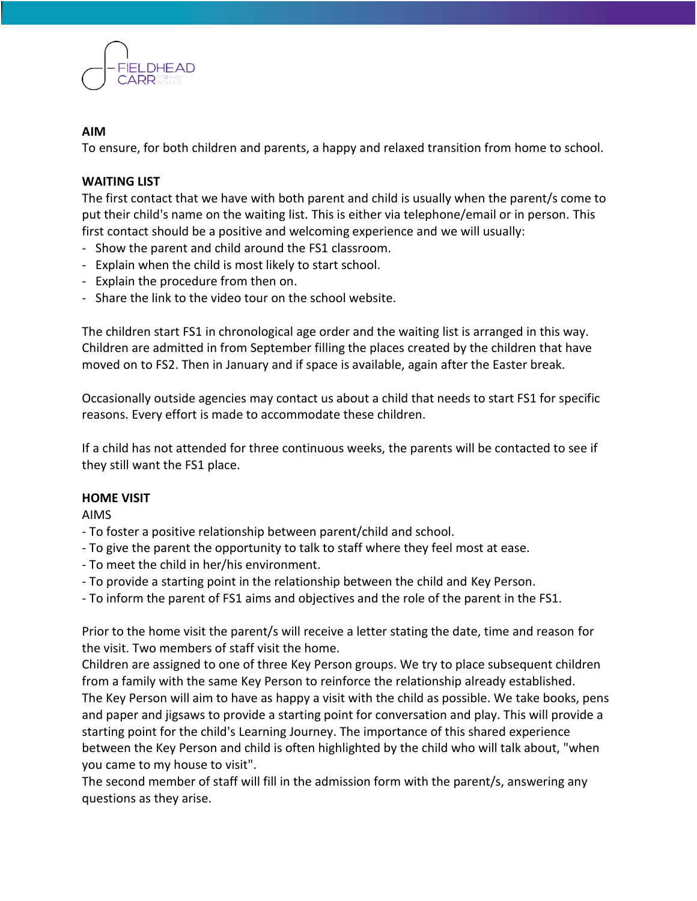

## **AIM**

To ensure, for both children and parents, a happy and relaxed transition from home to school.

# **WAITING LIST**

The first contact that we have with both parent and child is usually when the parent/s come to put their child's name on the waiting list. This is either via telephone/email or in person. This first contact should be a positive and welcoming experience and we will usually:

- Show the parent and child around the FS1 classroom.
- Explain when the child is most likely to start school.
- Explain the procedure from then on.
- Share the link to the video tour on the school website.

The children start FS1 in chronological age order and the waiting list is arranged in this way. Children are admitted in from September filling the places created by the children that have moved on to FS2. Then in January and if space is available, again after the Easter break.

Occasionally outside agencies may contact us about a child that needs to start FS1 for specific reasons. Every effort is made to accommodate these children.

If a child has not attended for three continuous weeks, the parents will be contacted to see if they still want the FS1 place.

### **HOME VISIT**

AIMS

- To foster a positive relationship between parent/child and school.

- To give the parent the opportunity to talk to staff where they feel most at ease.
- To meet the child in her/his environment.
- To provide a starting point in the relationship between the child and Key Person.
- To inform the parent of FS1 aims and objectives and the role of the parent in the FS1.

Prior to the home visit the parent/s will receive a letter stating the date, time and reason for the visit. Two members of staff visit the home.

Children are assigned to one of three Key Person groups. We try to place subsequent children from a family with the same Key Person to reinforce the relationship already established. The Key Person will aim to have as happy a visit with the child as possible. We take books, pens and paper and jigsaws to provide a starting point for conversation and play. This will provide a starting point for the child's Learning Journey. The importance of this shared experience between the Key Person and child is often highlighted by the child who will talk about, "when you came to my house to visit".

The second member of staff will fill in the admission form with the parent/s, answering any questions as they arise.